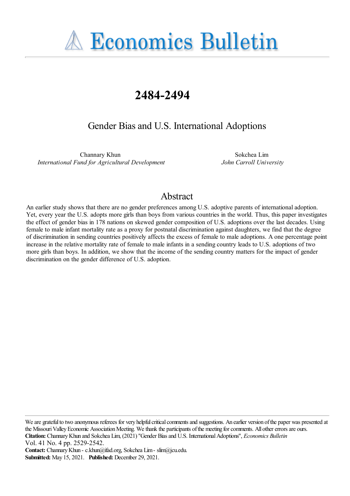**A Economics Bulletin** 

# **2484-2494**

Gender Bias and U.S. International Adoptions

Channary Khun *International Fund for Agricultural Development*

Sokchea Lim *John Carroll University*

# Abstract

An earlier study shows that there are no gender preferences among U.S. adoptive parents of international adoption. Yet, every year the U.S. adopts more girls than boys from various countries in the world. Thus, this paper investigates the effect of gender bias in 178 nations on skewed gender composition of U.S. adoptions over the last decades. Using female to male infant mortality rate as a proxy for postnatal discrimination against daughters, we find that the degree of discrimination in sending countries positively affects the excess of female to male adoptions. A one percentage point increase in the relative mortality rate of female to male infants in a sending country leads to U.S. adoptions of two more girls than boys. In addition, we show that the income of the sending country matters for the impact of gender discrimination on the gender difference of U.S. adoption.

We are grateful to two anonymous referees for very helpful critical comments and suggestions. An earlier version of the paper was presented at the Missouri Valley Economic Association Meeting. We thank the participants of the meeting for comments. All other errors are ours. **Citation:** ChannaryKhun and Sokchea Lim, (2021) ''Gender Biasand U.S. InternationalAdoptions'', *Economics Bulletin* Vol. 41 No. 4 pp. 2529-2542.

**Contact:** ChannaryKhun - c.khun@ifad.org, Sokchea Lim- slim@jcu.edu. **Submitted:** May 15, 2021. **Published:** December 29, 2021.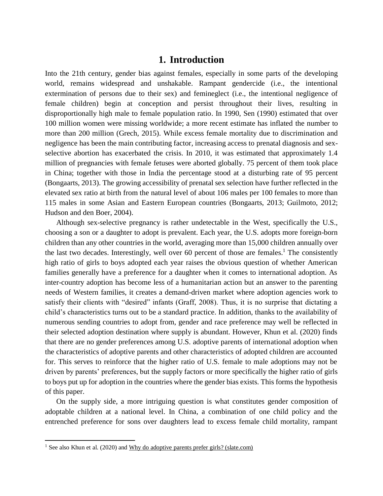### **1. Introduction**

Into the 21th century, gender bias against females, especially in some parts of the developing world, remains widespread and unshakable. Rampant gendercide (i.e., the intentional extermination of persons due to their sex) and femineglect (i.e., the intentional negligence of female children) begin at conception and persist throughout their lives, resulting in disproportionally high male to female population ratio. In 1990, Sen (1990) estimated that over 100 million women were missing worldwide; a more recent estimate has inflated the number to more than 200 million (Grech, 2015). While excess female mortality due to discrimination and negligence has been the main contributing factor, increasing access to prenatal diagnosis and sexselective abortion has exacerbated the crisis. In 2010, it was estimated that approximately 1.4 million of pregnancies with female fetuses were aborted globally. 75 percent of them took place in China; together with those in India the percentage stood at a disturbing rate of 95 percent (Bongaarts, 2013). The growing accessibility of prenatal sex selection have further reflected in the elevated sex ratio at birth from the natural level of about 106 males per 100 females to more than 115 males in some Asian and Eastern European countries (Bongaarts, 2013; Guilmoto, 2012; Hudson and den Boer, 2004).

Although sex-selective pregnancy is rather undetectable in the West, specifically the U.S., choosing a son or a daughter to adopt is prevalent. Each year, the U.S. adopts more foreign-born children than any other countries in the world, averaging more than 15,000 children annually over the last two decades. Interestingly, well over 60 percent of those are females.<sup>1</sup> The consistently high ratio of girls to boys adopted each year raises the obvious question of whether American families generally have a preference for a daughter when it comes to international adoption. As inter-country adoption has become less of a humanitarian action but an answer to the parenting needs of Western families, it creates a demand-driven market where adoption agencies work to satisfy their clients with "desired" infants (Graff, 2008). Thus, it is no surprise that dictating a child's characteristics turns out to be a standard practice. In addition, thanks to the availability of numerous sending countries to adopt from, gender and race preference may well be reflected in their selected adoption destination where supply is abundant. However, Khun et al. (2020) finds that there are no gender preferences among U.S. adoptive parents of international adoption when the characteristics of adoptive parents and other characteristics of adopted children are accounted for. This serves to reinforce that the higher ratio of U.S. female to male adoptions may not be driven by parents' preferences, but the supply factors or more specifically the higher ratio of girls to boys put up for adoption in the countries where the gender bias exists. This forms the hypothesis of this paper.

On the supply side, a more intriguing question is what constitutes gender composition of adoptable children at a national level. In China, a combination of one child policy and the entrenched preference for sons over daughters lead to excess female child mortality, rampant

 $\overline{a}$ 

<sup>&</sup>lt;sup>1</sup> See also Khun et al. (2020) and  $Why$  do adoptive parents prefer girls? (slate.com)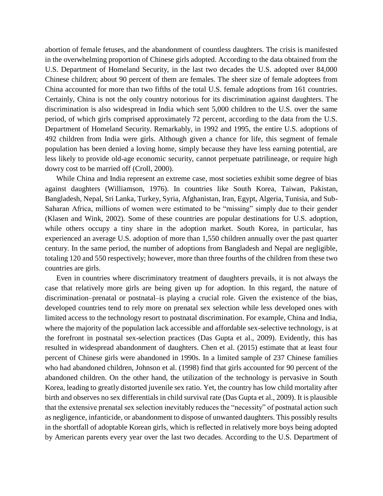abortion of female fetuses, and the abandonment of countless daughters. The crisis is manifested in the overwhelming proportion of Chinese girls adopted. According to the data obtained from the U.S. Department of Homeland Security, in the last two decades the U.S. adopted over 84,000 Chinese children; about 90 percent of them are females. The sheer size of female adoptees from China accounted for more than two fifths of the total U.S. female adoptions from 161 countries. Certainly, China is not the only country notorious for its discrimination against daughters. The discrimination is also widespread in India which sent 5,000 children to the U.S. over the same period, of which girls comprised approximately 72 percent, according to the data from the U.S. Department of Homeland Security. Remarkably, in 1992 and 1995, the entire U.S. adoptions of 492 children from India were girls. Although given a chance for life, this segment of female population has been denied a loving home, simply because they have less earning potential, are less likely to provide old-age economic security, cannot perpetuate patrilineage, or require high dowry cost to be married off (Croll, 2000).

While China and India represent an extreme case, most societies exhibit some degree of bias against daughters (Williamson, 1976). In countries like South Korea, Taiwan, Pakistan, Bangladesh, Nepal, Sri Lanka, Turkey, Syria, Afghanistan, Iran, Egypt, Algeria, Tunisia, and Sub-Saharan Africa, millions of women were estimated to be "missing" simply due to their gender (Klasen and Wink, 2002). Some of these countries are popular destinations for U.S. adoption, while others occupy a tiny share in the adoption market. South Korea, in particular, has experienced an average U.S. adoption of more than 1,550 children annually over the past quarter century. In the same period, the number of adoptions from Bangladesh and Nepal are negligible, totaling 120 and 550 respectively; however, more than three fourths of the children from these two countries are girls.

Even in countries where discriminatory treatment of daughters prevails, it is not always the case that relatively more girls are being given up for adoption. In this regard, the nature of discrimination–prenatal or postnatal–is playing a crucial role. Given the existence of the bias, developed countries tend to rely more on prenatal sex selection while less developed ones with limited access to the technology resort to postnatal discrimination. For example, China and India, where the majority of the population lack accessible and affordable sex-selective technology, is at the forefront in postnatal sex-selection practices (Das Gupta et al., 2009). Evidently, this has resulted in widespread abandonment of daughters. Chen et al. (2015) estimate that at least four percent of Chinese girls were abandoned in 1990s. In a limited sample of 237 Chinese families who had abandoned children, Johnson et al. (1998) find that girls accounted for 90 percent of the abandoned children. On the other hand, the utilization of the technology is pervasive in South Korea, leading to greatly distorted juvenile sex ratio. Yet, the country has low child mortality after birth and observes no sex differentials in child survival rate (Das Gupta et al., 2009). It is plausible that the extensive prenatal sex selection inevitably reduces the "necessity" of postnatal action such as negligence, infanticide, or abandonment to dispose of unwanted daughters. This possibly results in the shortfall of adoptable Korean girls, which is reflected in relatively more boys being adopted by American parents every year over the last two decades. According to the U.S. Department of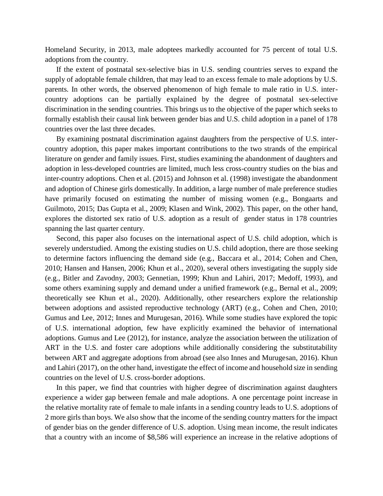Homeland Security, in 2013, male adoptees markedly accounted for 75 percent of total U.S. adoptions from the country.

If the extent of postnatal sex-selective bias in U.S. sending countries serves to expand the supply of adoptable female children, that may lead to an excess female to male adoptions by U.S. parents. In other words, the observed phenomenon of high female to male ratio in U.S. intercountry adoptions can be partially explained by the degree of postnatal sex-selective discrimination in the sending countries. This brings us to the objective of the paper which seeks to formally establish their causal link between gender bias and U.S. child adoption in a panel of 178 countries over the last three decades.

By examining postnatal discrimination against daughters from the perspective of U.S. intercountry adoption, this paper makes important contributions to the two strands of the empirical literature on gender and family issues. First, studies examining the abandonment of daughters and adoption in less-developed countries are limited, much less cross-country studies on the bias and inter-country adoptions. Chen et al. (2015) and Johnson et al. (1998) investigate the abandonment and adoption of Chinese girls domestically. In addition, a large number of male preference studies have primarily focused on estimating the number of missing women (e.g., Bongaarts and Guilmoto, 2015; Das Gupta et al., 2009; Klasen and Wink, 2002). This paper, on the other hand, explores the distorted sex ratio of U.S. adoption as a result of gender status in 178 countries spanning the last quarter century.

Second, this paper also focuses on the international aspect of U.S. child adoption, which is severely understudied. Among the existing studies on U.S. child adoption, there are those seeking to determine factors influencing the demand side (e.g., Baccara et al., 2014; Cohen and Chen, 2010; Hansen and Hansen, 2006; Khun et al., 2020), several others investigating the supply side (e.g., Bitler and Zavodny, 2003; Gennetian, 1999; Khun and Lahiri, 2017; Medoff, 1993), and some others examining supply and demand under a unified framework (e.g., Bernal et al., 2009; theoretically see Khun et al., 2020). Additionally, other researchers explore the relationship between adoptions and assisted reproductive technology (ART) (e.g., Cohen and Chen, 2010; Gumus and Lee, 2012; Innes and Murugesan, 2016). While some studies have explored the topic of U.S. international adoption, few have explicitly examined the behavior of international adoptions. Gumus and Lee (2012), for instance, analyze the association between the utilization of ART in the U.S. and foster care adoptions while additionally considering the substitutability between ART and aggregate adoptions from abroad (see also Innes and Murugesan, 2016). Khun and Lahiri (2017), on the other hand, investigate the effect of income and household size in sending countries on the level of U.S. cross-border adoptions.

In this paper, we find that countries with higher degree of discrimination against daughters experience a wider gap between female and male adoptions. A one percentage point increase in the relative mortality rate of female to male infants in a sending country leads to U.S. adoptions of 2 more girls than boys. We also show that the income of the sending country matters for the impact of gender bias on the gender difference of U.S. adoption. Using mean income, the result indicates that a country with an income of \$8,586 will experience an increase in the relative adoptions of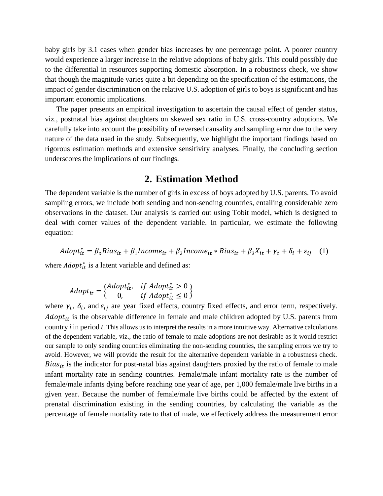baby girls by 3.1 cases when gender bias increases by one percentage point. A poorer country would experience a larger increase in the relative adoptions of baby girls. This could possibly due to the differential in resources supporting domestic absorption. In a robustness check, we show that though the magnitude varies quite a bit depending on the specification of the estimations, the impact of gender discrimination on the relative U.S. adoption of girls to boys is significant and has important economic implications.

The paper presents an empirical investigation to ascertain the causal effect of gender status, viz., postnatal bias against daughters on skewed sex ratio in U.S. cross-country adoptions. We carefully take into account the possibility of reversed causality and sampling error due to the very nature of the data used in the study. Subsequently, we highlight the important findings based on rigorous estimation methods and extensive sensitivity analyses. Finally, the concluding section underscores the implications of our findings.

### **2. Estimation Method**

The dependent variable is the number of girls in excess of boys adopted by U.S. parents. To avoid sampling errors, we include both sending and non-sending countries, entailing considerable zero observations in the dataset. Our analysis is carried out using Tobit model, which is designed to deal with corner values of the dependent variable. In particular, we estimate the following equation:

 $Adopt_{it}^* = \beta_o Bias_{it} + \beta_1 Income_{it} + \beta_2 Income_{it} * Bias_{it} + \beta_3X_{it} + \gamma_t + \delta_i + \varepsilon_{ij}$  (1)

where  $Adopt_{it}^*$  is a latent variable and defined as:

$$
Adopt_{it} = \begin{cases} Adopt_{it}^*, & \text{if } Adopt_{it}^* > 0 \\ 0, & \text{if } Adopt_{it}^* \le 0 \end{cases}
$$

where  $\gamma_t$ ,  $\delta_i$ , and  $\varepsilon_{ij}$  are year fixed effects, country fixed effects, and error term, respectively.  $Adopt_{it}$  is the observable difference in female and male children adopted by U.S. parents from country *i* in period *t*. This allows us to interpret the results in a more intuitive way. Alternative calculations of the dependent variable, viz., the ratio of female to male adoptions are not desirable as it would restrict our sample to only sending countries eliminating the non-sending countries, the sampling errors we try to avoid. However, we will provide the result for the alternative dependent variable in a robustness check. *Bias*<sub>it</sub> is the indicator for post-natal bias against daughters proxied by the ratio of female to male infant mortality rate in sending countries. Female/male infant mortality rate is the number of female/male infants dying before reaching one year of age, per 1,000 female/male live births in a given year. Because the number of female/male live births could be affected by the extent of prenatal discrimination existing in the sending countries, by calculating the variable as the percentage of female mortality rate to that of male, we effectively address the measurement error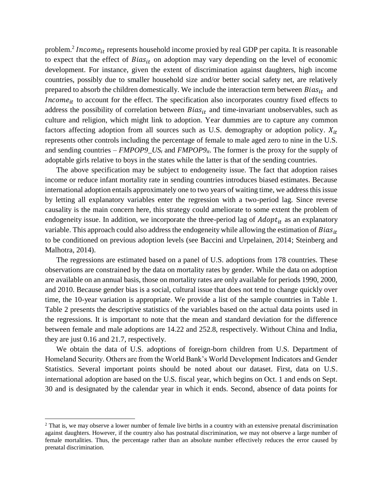problem.<sup>2</sup> Income<sub>it</sub> represents household income proxied by real GDP per capita. It is reasonable to expect that the effect of  $Bias_{it}$  on adoption may vary depending on the level of economic development. For instance, given the extent of discrimination against daughters, high income countries, possibly due to smaller household size and/or better social safety net, are relatively prepared to absorb the children domestically. We include the interaction term between  $Bias_{it}$  and Income<sub>it</sub> to account for the effect. The specification also incorporates country fixed effects to address the possibility of correlation between  $Bias_{it}$  and time-invariant unobservables, such as culture and religion, which might link to adoption. Year dummies are to capture any common factors affecting adoption from all sources such as U.S. demography or adoption policy.  $X_{it}$ represents other controls including the percentage of female to male aged zero to nine in the U.S. and sending countries –  $FMPOP9$ <sub>L</sub>US<sub>t</sub> and  $FMPOP9$ <sub>*it*</sub>. The former is the proxy for the supply of adoptable girls relative to boys in the states while the latter is that of the sending countries.

The above specification may be subject to endogeneity issue. The fact that adoption raises income or reduce infant mortality rate in sending countries introduces biased estimates. Because international adoption entails approximately one to two years of waiting time, we address this issue by letting all explanatory variables enter the regression with a two-period lag. Since reverse causality is the main concern here, this strategy could ameliorate to some extent the problem of endogeneity issue. In addition, we incorporate the three-period lag of  $Adopt_{it}$  as an explanatory variable. This approach could also address the endogeneity while allowing the estimation of  $Bias_{it}$ to be conditioned on previous adoption levels (see Baccini and Urpelainen, 2014; Steinberg and Malhotra, 2014).

The regressions are estimated based on a panel of U.S. adoptions from 178 countries. These observations are constrained by the data on mortality rates by gender. While the data on adoption are available on an annual basis, those on mortality rates are only available for periods 1990, 2000, and 2010. Because gender bias is a social, cultural issue that does not tend to change quickly over time, the 10-year variation is appropriate. We provide a list of the sample countries in Table 1. Table 2 presents the descriptive statistics of the variables based on the actual data points used in the regressions. It is important to note that the mean and standard deviation for the difference between female and male adoptions are 14.22 and 252.8, respectively. Without China and India, they are just 0.16 and 21.7, respectively.

We obtain the data of U.S. adoptions of foreign-born children from U.S. Department of Homeland Security. Others are from the World Bank's World Development Indicators and Gender Statistics. Several important points should be noted about our dataset. First, data on U.S. international adoption are based on the U.S. fiscal year, which begins on Oct. 1 and ends on Sept. 30 and is designated by the calendar year in which it ends. Second, absence of data points for

l

<sup>&</sup>lt;sup>2</sup> That is, we may observe a lower number of female live births in a country with an extensive prenatal discrimination against daughters. However, if the country also has postnatal discrimination, we may not observe a large number of female mortalities. Thus, the percentage rather than an absolute number effectively reduces the error caused by prenatal discrimination.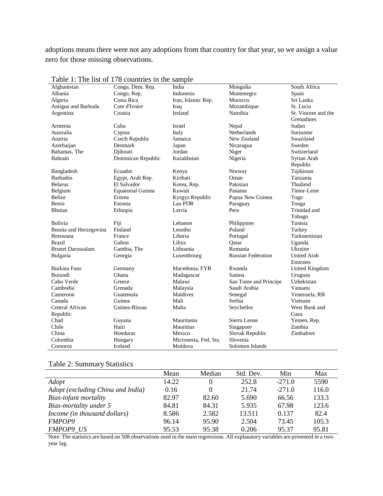adoptions means there were not any adoptions from that country for that year, so we assign a value zero for those missing observations.

| Afghanistan             | 1. The not of 176 countries in the sample<br>Congo, Dem. Rep. | India                 | Mongolia                  | South Africa        |
|-------------------------|---------------------------------------------------------------|-----------------------|---------------------------|---------------------|
| Albania                 | Congo, Rep.                                                   | Indonesia             | Montenegro                | Spain               |
| Algeria                 | Costa Rica                                                    | Iran, Islamic Rep.    | Morocco                   | Sri Lanka           |
| Antigua and Barbuda     | Cote d'Ivoire                                                 | Iraq                  | Mozambique                | St. Lucia           |
| Argentina               | Croatia                                                       | Ireland               | Namibia                   | St. Vincent and the |
|                         |                                                               |                       |                           | Grenadines          |
| Armenia                 | Cuba                                                          | Israel                | Nepal                     | Sudan               |
| Australia               | Cyprus                                                        | Italy                 | Netherlands               | Suriname            |
| Austria                 | Czech Republic                                                | Jamaica               | New Zealand               | Swaziland           |
|                         | Denmark                                                       |                       |                           | Sweden              |
| Azerbaijan              |                                                               | Japan<br>Jordan       | Nicaragua                 | Switzerland         |
| Bahamas, The<br>Bahrain | Diibouti                                                      |                       | Niger                     |                     |
|                         | Dominican Republic                                            | Kazakhstan            | Nigeria                   | Syrian Arab         |
|                         |                                                               |                       |                           | Republic            |
| Bangladesh              | Ecuador                                                       | Kenya                 | Norway                    | Tajikistan          |
| <b>Barbados</b>         | Egypt, Arab Rep.                                              | Kiribati              | Oman                      | Tanzania            |
| <b>Belarus</b>          | El Salvador                                                   | Korea, Rep.           | Pakistan                  | Thailand            |
| Belgium                 | <b>Equatorial Guinea</b>                                      | Kuwait                | Panama                    | Timor-Leste         |
| <b>Belize</b>           | Eritrea                                                       | Kyrgyz Republic       | Papua New Guinea          | Togo                |
| Benin                   | Estonia                                                       | Lao PDR               | Paraguay                  | Tonga               |
| Bhutan                  | Ethiopia                                                      | Latvia                | Peru                      | Trinidad and        |
|                         |                                                               |                       |                           | Tobago              |
| Bolivia                 | Fiji                                                          | Lebanon               | Philippines               | Tunisia             |
| Bosnia and Herzegovina  | Finland                                                       | Lesotho               | Poland                    | Turkey              |
| <b>Botswana</b>         | France                                                        | Liberia               | Portugal                  | Turkmenistan        |
| <b>Brazil</b>           | Gabon                                                         | Libya                 | Oatar                     | Uganda              |
| Brunei Darussalam       | Gambia, The                                                   | Lithuania             | Romania                   | Ukraine             |
| Bulgaria                | Georgia                                                       | Luxembourg            | <b>Russian Federation</b> | <b>United Arab</b>  |
|                         |                                                               |                       |                           | Emirates            |
| <b>Burkina Faso</b>     | Germany                                                       | Macedonia, FYR        | Rwanda                    | United Kingdom      |
| Burundi                 | Ghana                                                         | Madagascar            | Samoa                     | Uruguay             |
| Cabo Verde              | Greece                                                        | Malawi                | Sao Tome and Principe     | Uzbekistan          |
| Cambodia                | Grenada                                                       | Malaysia              | Saudi Arabia              | Vanuatu             |
| Cameroon                | Guatemala                                                     | Maldives              | Senegal                   | Venezuela, RB       |
| Canada                  | Guinea                                                        | Mali                  | Serbia                    | Vietnam             |
| Central African         | Guinea-Bissau                                                 | Malta                 | Seychelles                | West Bank and       |
| Republic                |                                                               |                       |                           | Gaza                |
| Chad                    | Guyana                                                        | Mauritania            | Sierra Leone              | Yemen, Rep.         |
| Chile                   | Haiti                                                         | Mauritius             | Singapore                 | Zambia              |
| China                   | Honduras                                                      | Mexico                | Slovak Republic           | Zimbabwe            |
| Colombia                | Hungary                                                       | Micronesia, Fed. Sts. | Slovenia                  |                     |
| Comoros                 | Iceland                                                       | Moldova               | Solomon Islands           |                     |

Table 1: The list of 178 countries in the sample

#### Table 2: Summary Statistics

|                                   | Mean  | Median   | Std. Dev. | Min      | Max   |
|-----------------------------------|-------|----------|-----------|----------|-------|
| Adopt                             | 14.22 | 0        | 252.8     | $-271.0$ | 5590  |
| Adopt (excluding China and India) | 0.16  | $\Omega$ | 21.74     | $-271.0$ | 116.0 |
| Bias-infant mortality             | 82.97 | 82.60    | 5.690     | 66.56    | 133.3 |
| Bias-mortality under 5            | 84.81 | 84.31    | 5.935     | 67.98    | 123.6 |
| Income (in thousand dollars)      | 8.586 | 2.582    | 13.511    | 0.137    | 82.4  |
| <b>FMPOP9</b>                     | 96.14 | 95.90    | 2.504     | 73.45    | 105.3 |
| <b>FMPOP9 US</b>                  | 95.53 | 95.38    | 0.206     | 95.37    | 95.81 |

Note: The statistics are based on 508 observations used in the main regressions. All explanatory variables are presented in a twoyear lag.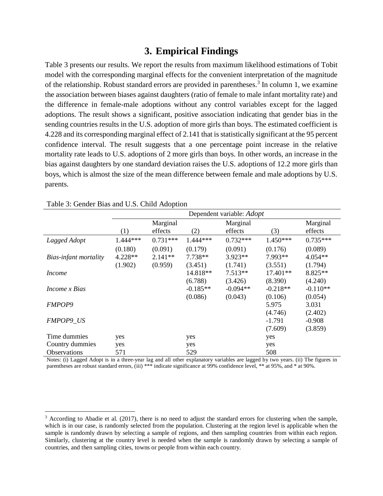# **3. Empirical Findings**

Table 3 presents our results. We report the results from maximum likelihood estimations of Tobit model with the corresponding marginal effects for the convenient interpretation of the magnitude of the relationship. Robust standard errors are provided in parentheses.<sup>3</sup> In column 1, we examine the association between biases against daughters (ratio of female to male infant mortality rate) and the difference in female-male adoptions without any control variables except for the lagged adoptions. The result shows a significant, positive association indicating that gender bias in the sending countries results in the U.S. adoption of more girls than boys. The estimated coefficient is 4.228 and its corresponding marginal effect of 2.141 that is statistically significant at the 95 percent confidence interval. The result suggests that a one percentage point increase in the relative mortality rate leads to U.S. adoptions of 2 more girls than boys. In other words, an increase in the bias against daughters by one standard deviation raises the U.S. adoptions of 12.2 more girls than boys, which is almost the size of the mean difference between female and male adoptions by U.S. parents.

|                       | Dependent variable: Adopt |            |            |            |            |            |  |
|-----------------------|---------------------------|------------|------------|------------|------------|------------|--|
|                       |                           |            |            |            |            |            |  |
|                       | Marginal                  |            |            | Marginal   |            | Marginal   |  |
|                       | (1)                       | effects    | (2)        | effects    | (3)        | effects    |  |
| Lagged Adopt          | 1.444***                  | $0.731***$ | $1.444***$ | $0.732***$ | $1.450***$ | $0.735***$ |  |
|                       | (0.180)                   | (0.091)    | (0.179)    | (0.091)    | (0.176)    | (0.089)    |  |
| Bias-infant mortality | 4.228**                   | $2.141**$  | $7.738**$  | $3.923**$  | 7.993**    | $4.054**$  |  |
|                       | (1.902)                   | (0.959)    | (3.451)    | (1.741)    | (3.551)    | (1.794)    |  |
| <i>Income</i>         |                           |            | 14.818**   | $7.513**$  | 17.401**   | 8.825**    |  |
|                       |                           |            | (6.788)    | (3.426)    | (8.390)    | (4.240)    |  |
| <i>Income x Bias</i>  |                           |            | $-0.185**$ | $-0.094**$ | $-0.218**$ | $-0.110**$ |  |
|                       |                           |            | (0.086)    | (0.043)    | (0.106)    | (0.054)    |  |
| <b>FMPOP9</b>         |                           |            |            |            | 5.975      | 3.031      |  |
|                       |                           |            |            |            | (4.746)    | (2.402)    |  |
| <b>FMPOP9 US</b>      |                           |            |            |            | $-1.791$   | $-0.908$   |  |
|                       |                           |            |            |            | (7.609)    | (3.859)    |  |
| Time dummies          | yes                       |            | yes        |            | yes        |            |  |
| Country dummies       | yes                       |            | yes        |            | yes        |            |  |
| <b>Observations</b>   | 571                       |            | 529        |            | 508        |            |  |

Table 3: Gender Bias and U.S. Child Adoption

l

Notes: (i) Lagged Adopt is in a three-year lag and all other explanatory variables are lagged by two years. (ii) The figures in parentheses are robust standard errors, (iii) \*\*\* indicate significance at 99% confidence level, \*\* at 95%, and \* at 90%.

 $3$  According to Abadie et al. (2017), there is no need to adjust the standard errors for clustering when the sample, which is in our case, is randomly selected from the population. Clustering at the region level is applicable when the sample is randomly drawn by selecting a sample of regions, and then sampling countries from within each region. Similarly, clustering at the country level is needed when the sample is randomly drawn by selecting a sample of countries, and then sampling cities, towns or people from within each country.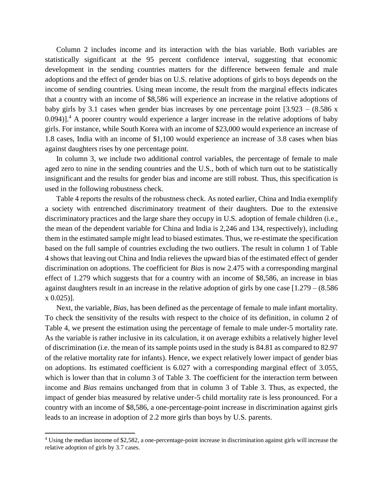Column 2 includes income and its interaction with the bias variable. Both variables are statistically significant at the 95 percent confidence interval, suggesting that economic development in the sending countries matters for the difference between female and male adoptions and the effect of gender bias on U.S. relative adoptions of girls to boys depends on the income of sending countries. Using mean income, the result from the marginal effects indicates that a country with an income of \$8,586 will experience an increase in the relative adoptions of baby girls by 3.1 cases when gender bias increases by one percentage point  $[3.923 - (8.586 \times$  $0.094$ ].<sup>4</sup> A poorer country would experience a larger increase in the relative adoptions of baby girls. For instance, while South Korea with an income of \$23,000 would experience an increase of 1.8 cases, India with an income of \$1,100 would experience an increase of 3.8 cases when bias against daughters rises by one percentage point.

In column 3, we include two additional control variables, the percentage of female to male aged zero to nine in the sending countries and the U.S., both of which turn out to be statistically insignificant and the results for gender bias and income are still robust. Thus, this specification is used in the following robustness check.

Table 4 reports the results of the robustness check. As noted earlier, China and India exemplify a society with entrenched discriminatory treatment of their daughters. Due to the extensive discriminatory practices and the large share they occupy in U.S. adoption of female children (i.e., the mean of the dependent variable for China and India is 2,246 and 134, respectively), including them in the estimated sample might lead to biased estimates. Thus, we re-estimate the specification based on the full sample of countries excluding the two outliers. The result in column 1 of Table 4 shows that leaving out China and India relieves the upward bias of the estimated effect of gender discrimination on adoptions. The coefficient for *Bias* is now 2.475 with a corresponding marginal effect of 1.279 which suggests that for a country with an income of \$8,586, an increase in bias against daughters result in an increase in the relative adoption of girls by one case [1.279 – (8.586 x 0.025)].

Next, the variable, *Bias*, has been defined as the percentage of female to male infant mortality. To check the sensitivity of the results with respect to the choice of its definition, in column 2 of Table 4, we present the estimation using the percentage of female to male under-5 mortality rate. As the variable is rather inclusive in its calculation, it on average exhibits a relatively higher level of discrimination (i.e. the mean of itssample points used in the study is 84.81 as compared to 82.97 of the relative mortality rate for infants). Hence, we expect relatively lower impact of gender bias on adoptions. Its estimated coefficient is 6.027 with a corresponding marginal effect of 3.055, which is lower than that in column 3 of Table 3. The coefficient for the interaction term between income and *Bias* remains unchanged from that in column 3 of Table 3. Thus, as expected, the impact of gender bias measured by relative under-5 child mortality rate is less pronounced. For a country with an income of \$8,586, a one-percentage-point increase in discrimination against girls leads to an increase in adoption of 2.2 more girls than boys by U.S. parents.

 $\overline{a}$ 

<sup>4</sup> Using the median income of \$2,582, a one-percentage-point increase in discrimination against girls will increase the relative adoption of girls by 3.7 cases.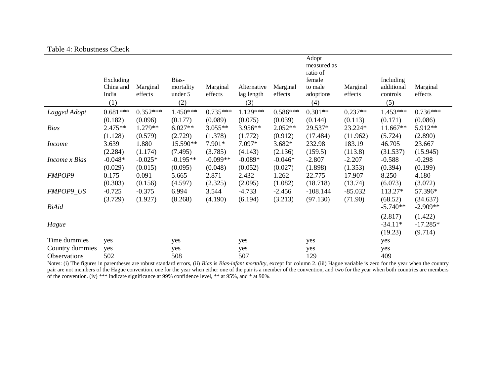#### Table 4: Robustness Check

|                                        |                                 |                       |                               |                       |                           |                       | Adopt<br>measured as<br>ratio of |                      |                                     |                                  |
|----------------------------------------|---------------------------------|-----------------------|-------------------------------|-----------------------|---------------------------|-----------------------|----------------------------------|----------------------|-------------------------------------|----------------------------------|
|                                        | Excluding<br>China and<br>India | Marginal<br>effects   | Bias-<br>mortality<br>under 5 | Marginal<br>effects   | Alternative<br>lag length | Marginal<br>effects   | female<br>to male<br>adoptions   | Marginal<br>effects  | Including<br>additional<br>controls | Marginal<br>effects              |
|                                        | (1)                             |                       | (2)                           |                       | (3)                       |                       | (4)                              |                      | (5)                                 |                                  |
| Lagged Adopt                           | $0.681***$<br>(0.182)           | $0.352***$<br>(0.096) | $1.450***$<br>(0.177)         | $0.735***$<br>(0.089) | 1.129***<br>(0.075)       | $0.586***$<br>(0.039) | $0.301**$<br>(0.144)             | $0.237**$<br>(0.113) | 1.453***<br>(0.171)                 | $0.736***$<br>(0.086)            |
| <b>Bias</b>                            | 2.475**<br>(1.128)              | 1.279**<br>(0.579)    | $6.027**$<br>(2.729)          | $3.055**$<br>(1.378)  | 3.956**<br>(1.772)        | $2.052**$<br>(0.912)  | 29.537*<br>(17.484)              | 23.224*<br>(11.962)  | $11.667**$<br>(5.724)               | 5.912**<br>(2.890)               |
| <i>Income</i>                          | 3.639<br>(2.284)                | 1.880<br>(1.174)      | 15.590**<br>(7.495)           | 7.901*<br>(3.785)     | 7.097*<br>(4.143)         | $3.682*$<br>(2.136)   | 232.98<br>(159.5)                | 183.19<br>(113.8)    | 46.705<br>(31.537)                  | 23.667<br>(15.945)               |
| Income x Bias                          | $-0.048*$<br>(0.029)            | $-0.025*$<br>(0.015)  | $-0.195**$<br>(0.095)         | $-0.099**$<br>(0.048) | $-0.089*$<br>(0.052)      | $-0.046*$<br>(0.027)  | $-2.807$<br>(1.898)              | $-2.207$<br>(1.353)  | $-0.588$<br>(0.394)                 | $-0.298$<br>(0.199)              |
| <b>FMPOP9</b>                          | 0.175<br>(0.303)                | 0.091<br>(0.156)      | 5.665<br>(4.597)              | 2.871<br>(2.325)      | 2.432<br>(2.095)          | 1.262<br>(1.082)      | 22.775<br>(18.718)               | 17.907<br>(13.74)    | 8.250<br>(6.073)                    | 4.180<br>(3.072)                 |
| FMPOP9_US                              | $-0.725$<br>(3.729)             | $-0.375$<br>(1.927)   | 6.994<br>(8.268)              | 3.544<br>(4.190)      | $-4.733$<br>(6.194)       | $-2.456$<br>(3.213)   | $-108.144$<br>(97.130)           | $-85.032$<br>(71.90) | 113.27*<br>(68.52)                  | 57.396*<br>(34.637)              |
| <b>BiAid</b>                           |                                 |                       |                               |                       |                           |                       |                                  |                      | $-5.740**$                          | $-2.909**$                       |
| Hague                                  |                                 |                       |                               |                       |                           |                       |                                  |                      | (2.817)<br>$-34.11*$<br>(19.23)     | (1.422)<br>$-17.285*$<br>(9.714) |
| Time dummies                           | yes                             |                       | yes                           |                       | yes                       |                       | yes                              |                      | yes                                 |                                  |
| Country dummies<br><b>Observations</b> | yes<br>502                      |                       | yes<br>508                    |                       | yes<br>507                |                       | yes<br>129                       |                      | yes<br>409                          |                                  |

Notes: (i) The figures in parentheses are robust standard errors, (ii) *Bias* is *Bias-infant mortality*, except for column 2. (iii) Hague variable is zero for the year when the country pair are not members of the Hague convention, one for the year when either one of the pair is a member of the convention, and two for the year when both countries are members of the convention. (iv) \*\*\* indicate significance at 99% confidence level, \*\* at 95%, and \* at 90%.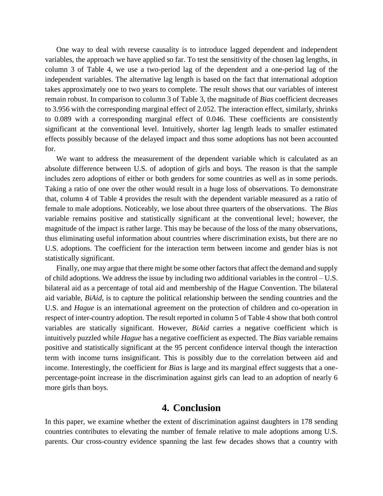One way to deal with reverse causality is to introduce lagged dependent and independent variables, the approach we have applied so far. To test the sensitivity of the chosen lag lengths, in column 3 of Table 4, we use a two-period lag of the dependent and a one-period lag of the independent variables. The alternative lag length is based on the fact that international adoption takes approximately one to two years to complete. The result shows that our variables of interest remain robust. In comparison to column 3 of Table 3, the magnitude of *Bias* coefficient decreases to 3.956 with the corresponding marginal effect of 2.052. The interaction effect, similarly, shrinks to 0.089 with a corresponding marginal effect of 0.046. These coefficients are consistently significant at the conventional level. Intuitively, shorter lag length leads to smaller estimated effects possibly because of the delayed impact and thus some adoptions has not been accounted for.

We want to address the measurement of the dependent variable which is calculated as an absolute difference between U.S. of adoption of girls and boys. The reason is that the sample includes zero adoptions of either or both genders for some countries as well as in some periods. Taking a ratio of one over the other would result in a huge loss of observations. To demonstrate that, column 4 of Table 4 provides the result with the dependent variable measured as a ratio of female to male adoptions. Noticeably, we lose about three quarters of the observations. The *Bias*  variable remains positive and statistically significant at the conventional level; however, the magnitude of the impact is rather large. This may be because of the loss of the many observations, thus eliminating useful information about countries where discrimination exists, but there are no U.S. adoptions. The coefficient for the interaction term between income and gender bias is not statistically significant.

Finally, one may argue that there might be some other factors that affect the demand and supply of child adoptions. We address the issue by including two additional variables in the control – U.S. bilateral aid as a percentage of total aid and membership of the Hague Convention. The bilateral aid variable, *BiAid*, is to capture the political relationship between the sending countries and the U.S. and *Hague* is an international agreement on the protection of children and co-operation in respect of inter-country adoption. The result reported in column 5 of Table 4 show that both control variables are statically significant. However, *BiAid* carries a negative coefficient which is intuitively puzzled while *Hague* has a negative coefficient as expected. The *Bias* variable remains positive and statistically significant at the 95 percent confidence interval though the interaction term with income turns insignificant. This is possibly due to the correlation between aid and income. Interestingly, the coefficient for *Bias* is large and its marginal effect suggests that a onepercentage-point increase in the discrimination against girls can lead to an adoption of nearly 6 more girls than boys.

# **4. Conclusion**

In this paper, we examine whether the extent of discrimination against daughters in 178 sending countries contributes to elevating the number of female relative to male adoptions among U.S. parents. Our cross-country evidence spanning the last few decades shows that a country with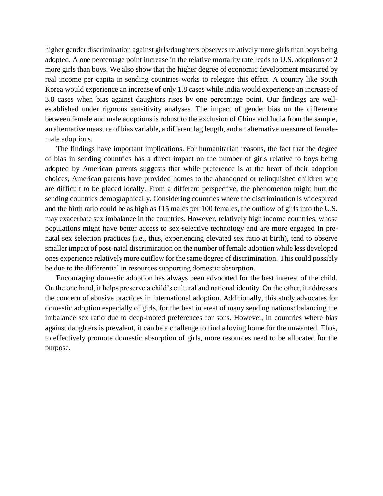higher gender discrimination against girls/daughters observes relatively more girls than boys being adopted. A one percentage point increase in the relative mortality rate leads to U.S. adoptions of 2 more girls than boys. We also show that the higher degree of economic development measured by real income per capita in sending countries works to relegate this effect. A country like South Korea would experience an increase of only 1.8 cases while India would experience an increase of 3.8 cases when bias against daughters rises by one percentage point. Our findings are wellestablished under rigorous sensitivity analyses. The impact of gender bias on the difference between female and male adoptions is robust to the exclusion of China and India from the sample, an alternative measure of bias variable, a different lag length, and an alternative measure of femalemale adoptions.

The findings have important implications. For humanitarian reasons, the fact that the degree of bias in sending countries has a direct impact on the number of girls relative to boys being adopted by American parents suggests that while preference is at the heart of their adoption choices, American parents have provided homes to the abandoned or relinquished children who are difficult to be placed locally. From a different perspective, the phenomenon might hurt the sending countries demographically. Considering countries where the discrimination is widespread and the birth ratio could be as high as 115 males per 100 females, the outflow of girls into the U.S. may exacerbate sex imbalance in the countries. However, relatively high income countries, whose populations might have better access to sex-selective technology and are more engaged in prenatal sex selection practices (i.e., thus, experiencing elevated sex ratio at birth), tend to observe smaller impact of post-natal discrimination on the number of female adoption while less developed ones experience relatively more outflow for the same degree of discrimination. This could possibly be due to the differential in resources supporting domestic absorption.

Encouraging domestic adoption has always been advocated for the best interest of the child. On the one hand, it helps preserve a child's cultural and national identity. On the other, it addresses the concern of abusive practices in international adoption. Additionally, this study advocates for domestic adoption especially of girls, for the best interest of many sending nations: balancing the imbalance sex ratio due to deep-rooted preferences for sons. However, in countries where bias against daughters is prevalent, it can be a challenge to find a loving home for the unwanted. Thus, to effectively promote domestic absorption of girls, more resources need to be allocated for the purpose.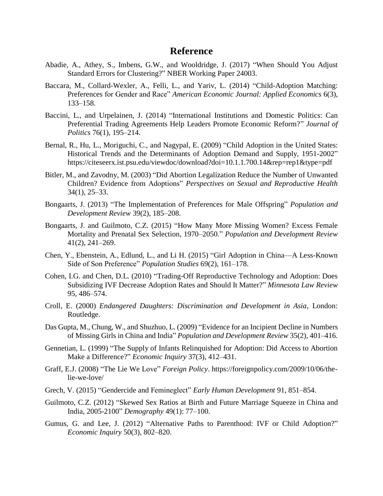### **Reference**

- Abadie, A., Athey, S., Imbens, G.W., and Wooldridge, J. (2017) "When Should You Adjust Standard Errors for Clustering?" NBER Working Paper 24003.
- Baccara, M., Collard-Wexler, A., Felli, L., and Yariv, L. (2014) "Child-Adoption Matching: Preferences for Gender and Race" *American Economic Journal: Applied Economics* 6(3), 133–158.
- Baccini, L., and Urpelainen, J. (2014) "International Institutions and Domestic Politics: Can Preferential Trading Agreements Help Leaders Promote Economic Reform?" *Journal of Politics* 76(1), 195–214.
- Bernal, R., Hu, L., Moriguchi, C., and Nagypal, E. (2009) "Child Adoption in the United States: Historical Trends and the Determinants of Adoption Demand and Supply, 1951-2002" https://citeseerx.ist.psu.edu/viewdoc/download?doi=10.1.1.700.14&rep=rep1&type=pdf
- Bitler, M., and Zavodny, M. (2003) "Did Abortion Legalization Reduce the Number of Unwanted Children? Evidence from Adoptions" *Perspectives on Sexual and Reproductive Health* 34(1), 25–33.
- Bongaarts, J. (2013) "The Implementation of Preferences for Male Offspring" *Population and Development Review* 39(2), 185–208.
- Bongaarts, J. and Guilmoto, C.Z. (2015) "How Many More Missing Women? Excess Female Mortality and Prenatal Sex Selection, 1970–2050." *Population and Development Review* 41(2), 241–269.
- Chen, Y., Ebenstein, A., Edlund, L., and Li H. (2015) "Girl Adoption in China—A Less-Known Side of Son Preference" *Population Studies* 69(2), 161–178.
- Cohen, I.G. and Chen, D.L. (2010) "Trading-Off Reproductive Technology and Adoption: Does Subsidizing IVF Decrease Adoption Rates and Should It Matter?" *Minnesota Law Review* 95, 486–574.
- Croll, E. (2000) *Endangered Daughters: Discrimination and Development in Asia*, London: Routledge.
- Das Gupta, M., Chung, W., and Shuzhuo, L. (2009) "Evidence for an Incipient Decline in Numbers of Missing Girls in China and India" *Population and Development Review* 35(2), 401–416.
- Gennetian, L. (1999) "The Supply of Infants Relinquished for Adoption: Did Access to Abortion Make a Difference?" *Economic Inquiry* 37(3), 412–431.
- Graff, E.J. (2008) "The Lie We Love" *Foreign Policy*. https://foreignpolicy.com/2009/10/06/thelie-we-love/
- Grech, V. (2015) "Gendercide and Femineglect" *Early Human Development* 91, 851–854.
- Guilmoto, C.Z. (2012) "Skewed Sex Ratios at Birth and Future Marriage Squeeze in China and India, 2005-2100" *Demography* 49(1): 77–100.
- Gumus, G. and Lee, J. (2012) "Alternative Paths to Parenthood: IVF or Child Adoption?" *Economic Inquiry* 50(3), 802–820.